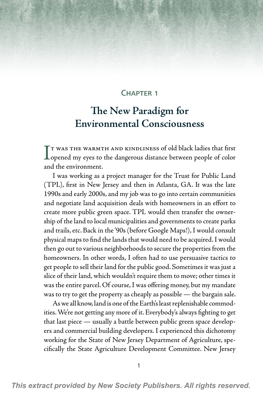## Chapter 1

## **The New Paradigm for Environmental Consciousness**

IT WAS THE WARMTH AND KINDLINESS of old black ladies that first<br>opened my eyes to the dangerous distance between people of color T WAS THE WARMTH AND KINDLINESS of old black ladies that first and the environment.

I was working as a project manager for the Trust for Public Land (TPL), first in New Jersey and then in Atlanta, GA. It was the late 1990s and early 2000s, and my job was to go into certain communities and negotiate land acquisition deals with homeowners in an effort to create more public green space. TPL would then transfer the ownership of the land to local municipalities and governments to create parks and trails, etc. Back in the '90s (before Google Maps!), I would consult physical maps to find the lands that would need to be acquired. I would then go out to various neighborhoods to secure the properties from the homeowners. In other words, I often had to use persuasive tactics to get people to sell their land for the public good. Sometimes it was just a slice of their land, which wouldn't require them to move; other times it was the entire parcel. Of course, I was offering money, but my mandate was to try to get the property as cheaply as possible — the bargain sale.

As we all know, land is one of the Earth's least replenishable commodities. We're not getting any more of it. Everybody's always fighting to get that last piece — usually a battle between public green space developers and commercial building developers. I experienced this dichotomy working for the State of New Jersey Department of Agriculture, specifically the State Agriculture Development Committee. New Jersey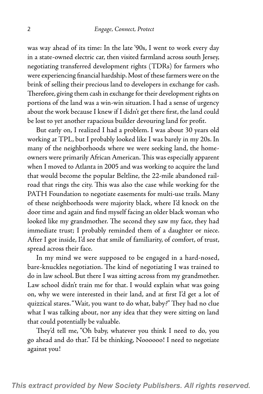was way ahead of its time: In the late '90s, I went to work every day in a state-owned electric car, then visited farmland across south Jersey, negotiating transferred development rights (TDRs) for farmers who were experiencing financial hardship. Most of these farmers were on the brink of selling their precious land to developers in exchange for cash. Therefore, giving them cash in exchange for their development rights on portions of the land was a win-win situation. I had a sense of urgency about the work because I knew if I didn't get there first, the land could be lost to yet another rapacious builder devouring land for profit.

But early on, I realized I had a problem. I was about 30 years old working at TPL, but I probably looked like I was barely in my 20s. In many of the neighborhoods where we were seeking land, the homeowners were primarily African American. This was especially apparent when I moved to Atlanta in 2005 and was working to acquire the land that would become the popular Beltline, the 22-mile abandoned railroad that rings the city. This was also the case while working for the PATH Foundation to negotiate easements for multi-use trails. Many of these neighborhoods were majority black, where I'd knock on the door time and again and find myself facing an older black woman who looked like my grandmother. The second they saw my face, they had immediate trust; I probably reminded them of a daughter or niece. After I got inside, I'd see that smile of familiarity, of comfort, of trust, spread across their face.

In my mind we were supposed to be engaged in a hard-nosed, bare-knuckles negotiation. The kind of negotiating I was trained to do in law school. But there I was sitting across from my grandmother. Law school didn't train me for that. I would explain what was going on, why we were interested in their land, and at first I'd get a lot of quizzical stares. "Wait, you want to do what, baby?" They had no clue what I was talking about, nor any idea that they were sitting on land that could potentially be valuable.

They'd tell me, "Oh baby, whatever you think I need to do, you go ahead and do that." I'd be thinking, Noooooo! I need to negotiate against you!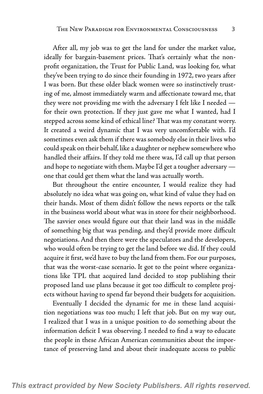After all, my job was to get the land for under the market value, ideally for bargain-basement prices. That's certainly what the nonprofit organization, the Trust for Public Land, was looking for, what they've been trying to do since their founding in 1972, two years after I was born. But these older black women were so instinctively trusting of me, almost immediately warm and affectionate toward me, that they were not providing me with the adversary I felt like I needed for their own protection. If they just gave me what I wanted, had I stepped across some kind of ethical line? That was my constant worry. It created a weird dynamic that I was very uncomfortable with. I'd sometimes even ask them if there was somebody else in their lives who could speak on their behalf, like a daughter or nephew somewhere who handled their affairs. If they told me there was, I'd call up that person and hope to negotiate with them. Maybe I'd get a tougher adversary one that could get them what the land was actually worth.

But throughout the entire encounter, I would realize they had absolutely no idea what was going on, what kind of value they had on their hands. Most of them didn't follow the news reports or the talk in the business world about what was in store for their neighborhood. The savvier ones would figure out that their land was in the middle of something big that was pending, and they'd provide more difficult negotiations. And then there were the speculators and the developers, who would often be trying to get the land before we did. If they could acquire it first, we'd have to buy the land from them. For our purposes, that was the worst-case scenario. It got to the point where organizations like TPL that acquired land decided to stop publishing their proposed land use plans because it got too difficult to complete projects without having to spend far beyond their budgets for acquisition.

Eventually I decided the dynamic for me in these land acquisition negotiations was too much; I left that job. But on my way out, I realized that I was in a unique position to do something about the information deficit I was observing. I needed to find a way to educate the people in these African American communities about the importance of preserving land and about their inadequate access to public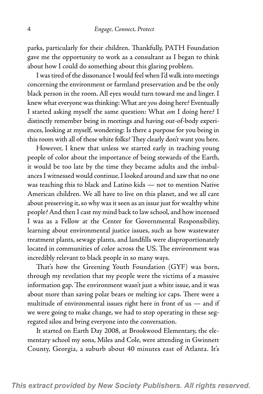parks, particularly for their children. Thankfully, PATH Foundation gave me the opportunity to work as a consultant as I began to think about how I could do something about this glaring problem.

I was tired of the dissonance I would feel when I'd walk into meetings concerning the environment or farmland preservation and be the only black person in the room. All eyes would turn toward me and linger. I knew what everyone was thinking: What are *you* doing here? Eventually I started asking myself the same question: What *am* I doing here? I distinctly remember being in meetings and having out-of-body experiences, looking at myself, wondering: Is there a purpose for you being in this room with all of these white folks? They clearly don't want you here.

However, I knew that unless we started early in teaching young people of color about the importance of being stewards of the Earth, it would be too late by the time they became adults and the imbalances I witnessed would continue. I looked around and saw that no one was teaching this to black and Latino kids — not to mention Native American children. We all have to live on this planet, and we all care about preserving it, so why was it seen as an issue just for wealthy white people? And then I cast my mind back to law school, and how incensed I was as a Fellow at the Center for Governmental Responsibility, learning about environmental justice issues, such as how wastewater treatment plants, sewage plants, and landfills were disproportionately located in communities of color across the US. The environment was incredibly relevant to black people in so many ways.

That's how the Greening Youth Foundation (GYF) was born, through my revelation that my people were the victims of a massive information gap. The environment wasn't just a white issue, and it was about more than saving polar bears or melting ice caps. There were a multitude of environmental issues right here in front of us — and if we were going to make change, we had to stop operating in these segregated silos and bring everyone into the conversation.

It started on Earth Day 2008, at Brookwood Elementary, the elementary school my sons, Miles and Cole, were attending in Gwinnett County, Georgia, a suburb about 40 minutes east of Atlanta. It's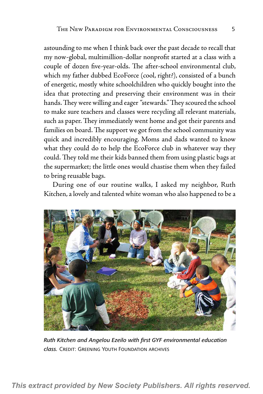astounding to me when I think back over the past decade to recall that my now-global, multimillion-dollar nonprofit started at a class with a couple of dozen five-year-olds. The after-school environmental club, which my father dubbed EcoForce (cool, right?), consisted of a bunch of energetic, mostly white schoolchildren who quickly bought into the idea that protecting and preserving their environment was in their hands. They were willing and eager "stewards." They scoured the school to make sure teachers and classes were recycling all relevant materials, such as paper. They immediately went home and got their parents and families on board. The support we got from the school community was quick and incredibly encouraging. Moms and dads wanted to know what they could do to help the EcoForce club in whatever way they could. They told me their kids banned them from using plastic bags at the supermarket; the little ones would chastise them when they failed to bring reusable bags.

During one of our routine walks, I asked my neighbor, Ruth Kitchen, a lovely and talented white woman who also happened to be a



*Ruth Kitchen and Angelou Ezeilo with first GYF environmental education class.* Credit: Greening Youth Foundation archives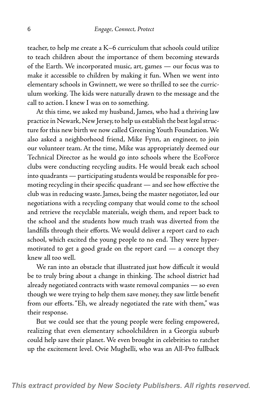teacher, to help me create a K–6 curriculum that schools could utilize to teach children about the importance of them becoming stewards of the Earth. We incorporated music, art, games — our focus was to make it accessible to children by making it fun. When we went into elementary schools in Gwinnett, we were so thrilled to see the curriculum working. The kids were naturally drawn to the message and the call to action. I knew I was on to something.

At this time, we asked my husband, James, who had a thriving law practice in Newark, New Jersey, to help us establish the best legal structure for this new birth we now called Greening Youth Foundation. We also asked a neighborhood friend, Mike Fynn, an engineer, to join our volunteer team. At the time, Mike was appropriately deemed our Technical Director as he would go into schools where the EcoForce clubs were conducting recycling audits. He would break each school into quadrants — participating students would be responsible for promoting recycling in their specific quadrant — and see how effective the club was in reducing waste. James, being the master negotiator, led our negotiations with a recycling company that would come to the school and retrieve the recyclable materials, weigh them, and report back to the school and the students how much trash was diverted from the landfills through their efforts. We would deliver a report card to each school, which excited the young people to no end. They were hypermotivated to get a good grade on the report card — a concept they knew all too well.

We ran into an obstacle that illustrated just how difficult it would be to truly bring about a change in thinking. The school district had already negotiated contracts with waste removal companies — so even though we were trying to help them save money, they saw little benefit from our efforts. "Eh, we already negotiated the rate with them," was their response.

But we could see that the young people were feeling empowered, realizing that even elementary schoolchildren in a Georgia suburb could help save their planet. We even brought in celebrities to ratchet up the excitement level. Ovie Mughelli, who was an All-Pro fullback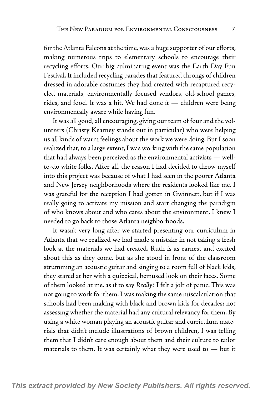for the Atlanta Falcons at the time, was a huge supporter of our efforts, making numerous trips to elementary schools to encourage their recycling efforts. Our big culminating event was the Earth Day Fun Festival. It included recycling parades that featured throngs of children dressed in adorable costumes they had created with recaptured recycled materials, environmentally focused vendors, old-school games, rides, and food. It was a hit. We had done it — children were being environmentally aware while having fun.

It was all good, all encouraging, giving our team of four and the volunteers (Christy Kearney stands out in particular) who were helping us all kinds of warm feelings about the work we were doing. But I soon realized that, to a large extent, I was working with the same population that had always been perceived as the environmental activists — wellto-do white folks. After all, the reason I had decided to throw myself into this project was because of what I had seen in the poorer Atlanta and New Jersey neighborhoods where the residents looked like me. I was grateful for the reception I had gotten in Gwinnett, but if I was really going to activate my mission and start changing the paradigm of who knows about and who cares about the environment, I knew I needed to go back to those Atlanta neighborhoods.

It wasn't very long after we started presenting our curriculum in Atlanta that we realized we had made a mistake in not taking a fresh look at the materials we had created. Ruth is as earnest and excited about this as they come, but as she stood in front of the classroom strumming an acoustic guitar and singing to a room full of black kids, they stared at her with a quizzical, bemused look on their faces. Some of them looked at me, as if to say *Really*? I felt a jolt of panic. This was not going to work for them. I was making the same miscalculation that schools had been making with black and brown kids for decades: not assessing whether the material had any cultural relevancy for them. By using a white woman playing an acoustic guitar and curriculum materials that didn't include illustrations of brown children, I was telling them that I didn't care enough about them and their culture to tailor materials to them. It was certainly what they were used to — but it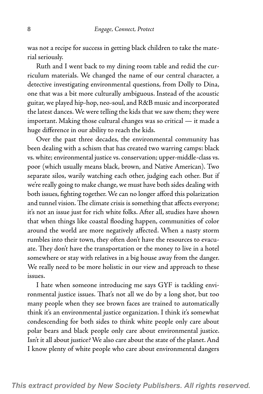was not a recipe for success in getting black children to take the material seriously.

Ruth and I went back to my dining room table and redid the curriculum materials. We changed the name of our central character, a detective investigating environmental questions, from Dolly to Dina, one that was a bit more culturally ambiguous. Instead of the acoustic guitar, we played hip-hop, neo-soul, and R&B music and incorporated the latest dances. We were telling the kids that we saw them; they were important. Making those cultural changes was so critical — it made a huge difference in our ability to reach the kids.

Over the past three decades, the environmental community has been dealing with a schism that has created two warring camps: black vs. white; environmental justice vs. conservation; upper-middle-class vs. poor (which usually means black, brown, and Native American). Two separate silos, warily watching each other, judging each other. But if we're really going to make change, we must have both sides dealing with both issues, fighting together. We can no longer afford this polarization and tunnel vision. The climate crisis is something that affects everyone; it's not an issue just for rich white folks. After all, studies have shown that when things like coastal flooding happen, communities of color around the world are more negatively affected. When a nasty storm rumbles into their town, they often don't have the resources to evacuate. They don't have the transportation or the money to live in a hotel somewhere or stay with relatives in a big house away from the danger. We really need to be more holistic in our view and approach to these issues.

I hate when someone introducing me says GYF is tackling environmental justice issues. That's not all we do by a long shot, but too many people when they see brown faces are trained to automatically think it's an environmental justice organization. I think it's somewhat condescending for both sides to think white people only care about polar bears and black people only care about environmental justice. Isn't it all about justice? We also care about the state of the planet. And I know plenty of white people who care about environmental dangers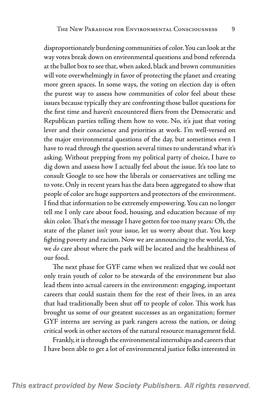disproportionately burdening communities of color. You can look at the way votes break down on environmental questions and bond referenda at the ballot box to see that, when asked, black and brown communities will vote overwhelmingly in favor of protecting the planet and creating more green spaces. In some ways, the voting on election day is often the purest way to assess how communities of color feel about these issues because typically they are confronting those ballot questions for the first time and haven't encountered fliers from the Democratic and Republican parties telling them how to vote. No, it's just that voting lever and their conscience and priorities at work. I'm well-versed on the major environmental questions of the day, but sometimes even I have to read through the question several times to understand what it's asking. Without prepping from my political party of choice, I have to dig down and assess how I actually feel about the issue. It's too late to consult Google to see how the liberals or conservatives are telling me to vote. Only in recent years has the data been aggregated to show that people of color are huge supporters and protectors of the environment. I find that information to be extremely empowering. You can no longer tell me I only care about food, housing, and education because of my skin color. That's the message I have gotten for too many years: Oh, the state of the planet isn't your issue, let us worry about that. You keep fighting poverty and racism. Now we are announcing to the world, Yes, we *do* care about where the park will be located and the healthiness of our food.

The next phase for GYF came when we realized that we could not only train youth of color to be stewards of the environment but also lead them into actual careers in the environment: engaging, important careers that could sustain them for the rest of their lives, in an area that had traditionally been shut off to people of color. This work has brought us some of our greatest successes as an organization; former GYF interns are serving as park rangers across the nation, or doing critical work in other sectors of the natural resource management field.

Frankly, it is through the environmental internships and careers that I have been able to get a lot of environmental justice folks interested in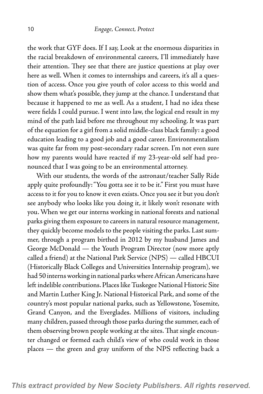the work that GYF does. If I say, Look at the enormous disparities in the racial breakdown of environmental careers, I'll immediately have their attention. They see that there are justice questions at play over here as well. When it comes to internships and careers, it's all a question of access. Once you give youth of color access to this world and show them what's possible, they jump at the chance. I understand that because it happened to me as well. As a student, I had no idea these were fields I could pursue. I went into law, the logical end result in my mind of the path laid before me throughout my schooling. It was part of the equation for a girl from a solid middle-class black family: a good education leading to a good job and a good career. Environmentalism was quite far from my post-secondary radar screen. I'm not even sure how my parents would have reacted if my 23-year-old self had pronounced that I was going to be an environmental attorney.

With our students, the words of the astronaut/teacher Sally Ride apply quite profoundly: "You gotta see it to be it." First you must have access to it for you to know it even exists. Once you see it but you don't see anybody who looks like you doing it, it likely won't resonate with you. When we get our interns working in national forests and national parks giving them exposure to careers in natural resource management, they quickly become models to the people visiting the parks. Last summer, through a program birthed in 2012 by my husband James and George McDonald — the Youth Program Director (now more aptly called a friend) at the National Park Service (NPS) — called HBCUI (Historically Black Colleges and Universities Internship program), we had 50 interns working in national parks where African Americans have left indelible contributions. Places like Tuskegee National Historic Site and Martin Luther King Jr. National Historical Park, and some of the country's most popular national parks, such as Yellowstone, Yosemite, Grand Canyon, and the Everglades. Millions of visitors, including many children, passed through those parks during the summer, each of them observing brown people working at the sites. That single encounter changed or formed each child's view of who could work in those places — the green and gray uniform of the NPS reflecting back a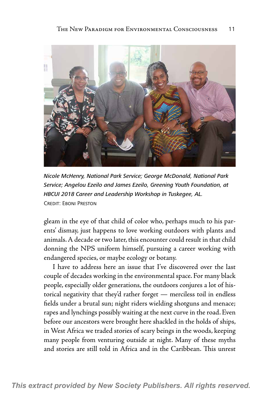

*Nicole McHenry, National Park Service; George McDonald, National Park Service; Angelou Ezeilo and James Ezeilo, Greening Youth Foundation, at HBCUI 2018 Career and Leadership Workshop in Tuskegee, AL.*  Credit: Eboni Preston

gleam in the eye of that child of color who, perhaps much to his parents' dismay, just happens to love working outdoors with plants and animals. A decade or two later, this encounter could result in that child donning the NPS uniform himself, pursuing a career working with endangered species, or maybe ecology or botany.

I have to address here an issue that I've discovered over the last couple of decades working in the environmental space. For many black people, especially older generations, the outdoors conjures a lot of historical negativity that they'd rather forget — merciless toil in endless fields under a brutal sun; night riders wielding shotguns and menace; rapes and lynchings possibly waiting at the next curve in the road. Even before our ancestors were brought here shackled in the holds of ships, in West Africa we traded stories of scary beings in the woods, keeping many people from venturing outside at night. Many of these myths and stories are still told in Africa and in the Caribbean. This unrest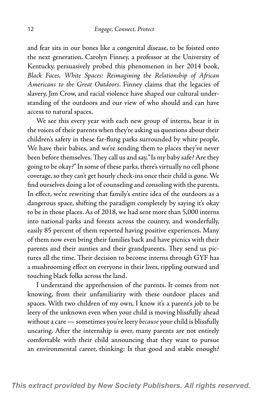and fear sits in our bones like a congenital disease, to be foisted onto the next generation. Carolyn Finney, a professor at the University of Kentucky, persuasively probed this phenomenon in her 2014 book, *Black Faces, White Spaces: Reimagining the Relationship of African Americans to the Great Outdoors*. Finney claims that the legacies of slavery, Jim Crow, and racial violence have shaped our cultural understanding of the outdoors and our view of who should and can have access to natural spaces.

We see this every year with each new group of interns, hear it in the voices of their parents when they're asking us questions about their children's safety in these far-flung parks surrounded by white people. We have their babies, and we're sending them to places they've never been before themselves. They call us and say, "Is my baby safe? Are they going to be okay?" In some of these parks, there's virtually no cell phone coverage, so they can't get hourly check-ins once their child is gone. We find ourselves doing a lot of counseling and consoling with the parents. In effect, we're rewriting that family's entire idea of the outdoors as a dangerous space, shifting the paradigm completely by saying it's okay to be in those places. As of 2018, we had sent more than 5,000 interns into national parks and forests across the country, and wonderfully, easily 85 percent of them reported having positive experiences. Many of them now even bring their families back and have picnics with their parents and their aunties and their grandparents. They send us pictures all the time. Their decision to become interns through GYF has a mushrooming effect on everyone in their lives, rippling outward and touching black folks across the land.

I understand the apprehension of the parents. It comes from not knowing, from their unfamiliarity with these outdoor places and spaces. With two children of my own, I know it's a parent's job to be leery of the unknown even when your child is moving blissfully ahead without a care — sometimes you're leery *because* your child is blissfully uncaring. After the internship is over, many parents are not entirely comfortable with their child announcing that they want to pursue an environmental career, thinking: Is that good and stable enough?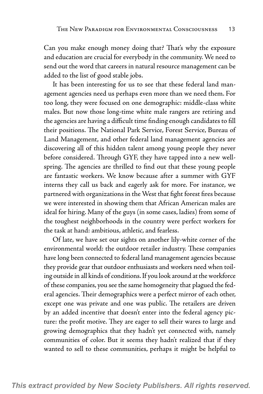Can you make enough money doing that? That's why the exposure and education are crucial for everybody in the community. We need to send out the word that careers in natural resource management can be added to the list of good stable jobs.

It has been interesting for us to see that these federal land management agencies need us perhaps even more than we need them. For too long, they were focused on one demographic: middle-class white males. But now those long-time white male rangers are retiring and the agencies are having a difficult time finding enough candidates to fill their positions. The National Park Service, Forest Service, Bureau of Land Management, and other federal land management agencies are discovering all of this hidden talent among young people they never before considered. Through GYF, they have tapped into a new wellspring. The agencies are thrilled to find out that these young people are fantastic workers. We know because after a summer with GYF interns they call us back and eagerly ask for more. For instance, we partnered with organizations in the West that fight forest fires because we were interested in showing them that African American males are ideal for hiring. Many of the guys (in some cases, ladies) from some of the toughest neighborhoods in the country were perfect workers for the task at hand: ambitious, athletic, and fearless.

Of late, we have set our sights on another lily-white corner of the environmental world: the outdoor retailer industry. These companies have long been connected to federal land management agencies because they provide gear that outdoor enthusiasts and workers need when toiling outside in all kinds of conditions. If you look around at the workforce of these companies, you see the same homogeneity that plagued the federal agencies. Their demographics were a perfect mirror of each other, except one was private and one was public. The retailers are driven by an added incentive that doesn't enter into the federal agency picture: the profit motive. They are eager to sell their wares to large and growing demographics that they hadn't yet connected with, namely communities of color. But it seems they hadn't realized that if they wanted to sell to these communities, perhaps it might be helpful to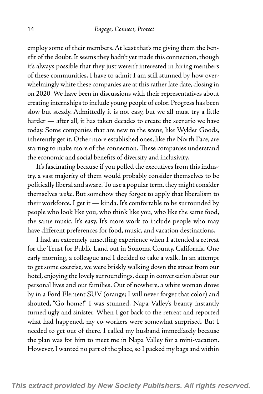employ some of their members. At least that's me giving them the benefit of the doubt. It seems they hadn't yet made this connection, though it's always possible that they just weren't interested in hiring members of these communities. I have to admit I am still stunned by how overwhelmingly white these companies are at this rather late date, closing in on 2020. We have been in discussions with their representatives about creating internships to include young people of color. Progress has been slow but steady. Admittedly it is not easy, but we all must try a little harder — after all, it has taken decades to create the scenario we have today. Some companies that are new to the scene, like Wylder Goods, inherently get it. Other more established ones, like the North Face, are starting to make more of the connection. These companies understand the economic and social benefits of diversity and inclusivity.

It's fascinating because if you polled the executives from this industry, a vast majority of them would probably consider themselves to be politically liberal and aware. To use a popular term, they might consider themselves *woke*. But somehow they forgot to apply that liberalism to their workforce. I get it — kinda. It's comfortable to be surrounded by people who look like you, who think like you, who like the same food, the same music. It's easy. It's more work to include people who may have different preferences for food, music, and vacation destinations.

I had an extremely unsettling experience when I attended a retreat for the Trust for Public Land out in Sonoma County, California. One early morning, a colleague and I decided to take a walk. In an attempt to get some exercise, we were briskly walking down the street from our hotel, enjoying the lovely surroundings, deep in conversation about our personal lives and our families. Out of nowhere, a white woman drove by in a Ford Element SUV (orange; I will never forget that color) and shouted, "Go home!" I was stunned. Napa Valley's beauty instantly turned ugly and sinister. When I got back to the retreat and reported what had happened, my co-workers were somewhat surprised. But I needed to get out of there. I called my husband immediately because the plan was for him to meet me in Napa Valley for a mini-vacation. However, I wanted no part of the place, so I packed my bags and within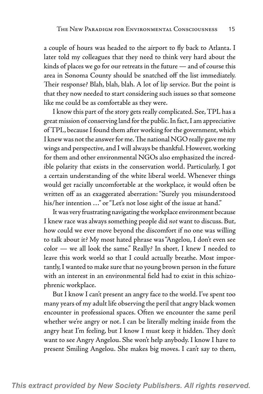a couple of hours was headed to the airport to fly back to Atlanta. I later told my colleagues that they need to think very hard about the kinds of places we go for our retreats in the future — and of course this area in Sonoma County should be snatched off the list immediately. Their response? Blah, blah, blah. A lot of lip service. But the point is that they now needed to start considering such issues so that someone like me could be as comfortable as they were.

I know this part of the story gets really complicated. See, TPL has a great mission of conserving land for the public. In fact, I am appreciative of TPL, because I found them after working for the government, which I knew was not the answer for me. The national NGO really gave me my wings and perspective, and I will always be thankful. However, working for them and other environmental NGOs also emphasized the incredible polarity that exists in the conservation world. Particularly, I got a certain understanding of the white liberal world. Whenever things would get racially uncomfortable at the workplace, it would often be written off as an exaggerated aberration: "Surely you misunderstood his/her intention …" or "Let's not lose sight of the issue at hand."

It was very frustrating navigating the workplace environment because I knew race was always something people did *not* want to discuss. But, how could we ever move beyond the discomfort if no one was willing to talk about it? My most hated phrase was "Angelou, I don't even see color — we all look the same." Really? In short, I knew I needed to leave this work world so that I could actually breathe. Most importantly, I wanted to make sure that no young brown person in the future with an interest in an environmental field had to exist in this schizophrenic workplace.

But I know I can't present an angry face to the world. I've spent too many years of my adult life observing the peril that angry black women encounter in professional spaces. Often we encounter the same peril whether we're angry or not. I can be literally melting inside from the angry heat I'm feeling, but I know I must keep it hidden. They don't want to see Angry Angelou. She won't help anybody. I know I have to present Smiling Angelou. She makes big moves. I can't say to them,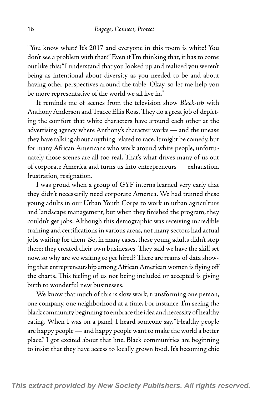"You know what? It's 2017 and everyone in this room is white! You don't see a problem with that?" Even if I'm thinking that, it has to come out like this: "I understand that you looked up and realized you weren't being as intentional about diversity as you needed to be and about having other perspectives around the table. Okay, so let me help you be more representative of the world we all live in."

It reminds me of scenes from the television show *Black-ish* with Anthony Anderson and Tracee Ellis Ross. They do a great job of depicting the comfort that white characters have around each other at the advertising agency where Anthony's character works — and the unease they have talking about anything related to race. It might be comedy, but for many African Americans who work around white people, unfortunately those scenes are all too real. That's what drives many of us out of corporate America and turns us into entrepreneurs — exhaustion, frustration, resignation.

I was proud when a group of GYF interns learned very early that they didn't necessarily need corporate America. We had trained these young adults in our Urban Youth Corps to work in urban agriculture and landscape management, but when they finished the program, they couldn't get jobs. Although this demographic was receiving incredible training and certifications in various areas, not many sectors had actual jobs waiting for them. So, in many cases, these young adults didn't stop there; they created their own businesses. They said we have the skill set now, so why are we waiting to get hired? There are reams of data showing that entrepreneurship among African American women is flying off the charts. This feeling of us not being included or accepted is giving birth to wonderful new businesses.

We know that much of this is slow work, transforming one person, one company, one neighborhood at a time. For instance, I'm seeing the black community beginning to embrace the idea and necessity of healthy eating. When I was on a panel, I heard someone say, "Healthy people are happy people — and happy people want to make the world a better place." I got excited about that line. Black communities are beginning to insist that they have access to locally grown food. It's becoming chic